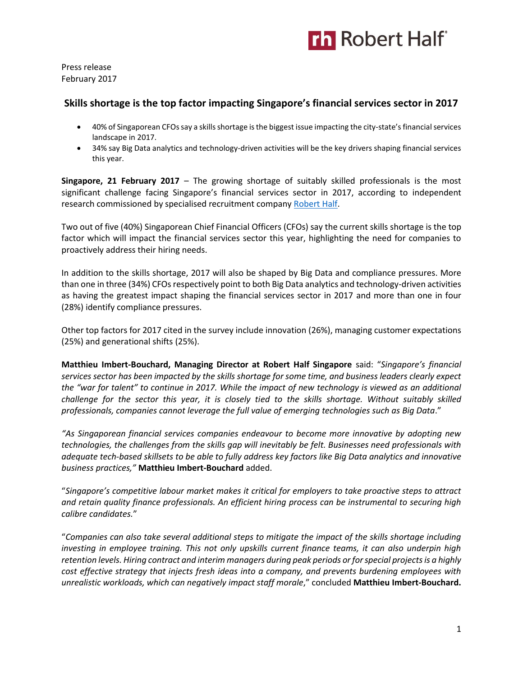

Press release February 2017

# **Skills shortage is the top factor impacting Singapore's financial services sector in 2017**

- 40% of Singaporean CFOs say a skills shortage is the biggest issue impacting the city-state's financial services landscape in 2017.
- 34% say Big Data analytics and technology-driven activities will be the key drivers shaping financial services this year.

**Singapore, 21 February 2017** – The growing shortage of suitably skilled professionals is the most significant challenge facing Singapore's financial services sector in 2017, according to independent research commissioned by specialised recruitment company [Robert Half.](https://www.roberthalf.com.sg/?utm_source=roberthalf&utm_medium=pressrelease&utm_campaign=rh-all-nonspecific-ongoing)

Two out of five (40%) Singaporean Chief Financial Officers (CFOs) say the current skills shortage is the top factor which will impact the financial services sector this year, highlighting the need for companies to proactively address their hiring needs.

In addition to the skills shortage, 2017 will also be shaped by Big Data and compliance pressures. More than one in three (34%) CFOs respectively point to both Big Data analytics and technology-driven activities as having the greatest impact shaping the financial services sector in 2017 and more than one in four (28%) identify compliance pressures.

Other top factors for 2017 cited in the survey include innovation (26%), managing customer expectations (25%) and generational shifts (25%).

**Matthieu Imbert-Bouchard, Managing Director at Robert Half Singapore** said: "*Singapore's financial services sector has been impacted by the skills shortage for some time, and business leaders clearly expect the "war for talent" to continue in 2017. While the impact of new technology is viewed as an additional challenge for the sector this year, it is closely tied to the skills shortage. Without suitably skilled professionals, companies cannot leverage the full value of emerging technologies such as Big Data*."

*"As Singaporean financial services companies endeavour to become more innovative by adopting new technologies, the challenges from the skills gap will inevitably be felt. Businesses need professionals with adequate tech-based skillsets to be able to fully address key factors like Big Data analytics and innovative business practices,"* **Matthieu Imbert-Bouchard** added.

"*Singapore's competitive labour market makes it critical for employers to take proactive steps to attract and retain quality finance professionals. An efficient hiring process can be instrumental to securing high calibre candidates.*"

"*Companies can also take several additional steps to mitigate the impact of the skills shortage including investing in employee training. This not only upskills current finance teams, it can also underpin high retention levels. Hiring contract and interim managers during peak periods or for special projects is a highly cost effective strategy that injects fresh ideas into a company, and prevents burdening employees with unrealistic workloads, which can negatively impact staff morale*," concluded **Matthieu Imbert-Bouchard.**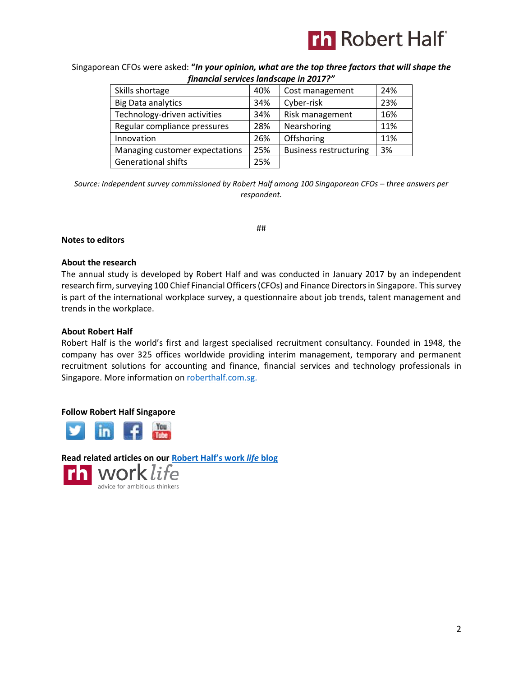

Singaporean CFOs were asked: **"***In your opinion, what are the top three factors that will shape the financial services landscape in 2017?"*

| Skills shortage                | 40% | Cost management               | 24% |
|--------------------------------|-----|-------------------------------|-----|
| <b>Big Data analytics</b>      | 34% | Cyber-risk                    | 23% |
| Technology-driven activities   | 34% | Risk management               | 16% |
| Regular compliance pressures   | 28% | Nearshoring                   | 11% |
| Innovation                     | 26% | Offshoring                    | 11% |
| Managing customer expectations | 25% | <b>Business restructuring</b> | 3%  |
| <b>Generational shifts</b>     | 25% |                               |     |

*Source: Independent survey commissioned by Robert Half among 100 Singaporean CFOs – three answers per respondent.*

##

### **Notes to editors**

#### **About the research**

The annual study is developed by Robert Half and was conducted in January 2017 by an independent research firm, surveying 100 Chief Financial Officers (CFOs) and Finance Directors in Singapore. This survey is part of the international workplace survey, a questionnaire about job trends, talent management and trends in the workplace.

#### **About Robert Half**

Robert Half is the world's first and largest specialised recruitment consultancy. Founded in 1948, the company has over 325 offices worldwide providing interim management, temporary and permanent recruitment solutions for accounting and finance, financial services and technology professionals in Singapore. More information o[n roberthalf.com.sg.](https://www.roberthalf.com.sg/?utm_source=roberthalf&utm_medium=pressrelease&utm_campaign=rh-all-nonspecific-ongoing)

### **Follow Robert Half Singapore**



**[Read related articles on our](https://www.roberthalf.com.sg/blog?utm_source=roberthalf&utm_medium=pressrelease&utm_campaign=rh-all-nonspecific-ongoing) [Robert Half's work](https://www.roberthalf.com.sg/blog?utm_source=roberthalf&utm_medium=pressrelease&utm_campaign=rh-all-nonspecific-ongoing)** *life* **blog**advice for ambitious thinkers